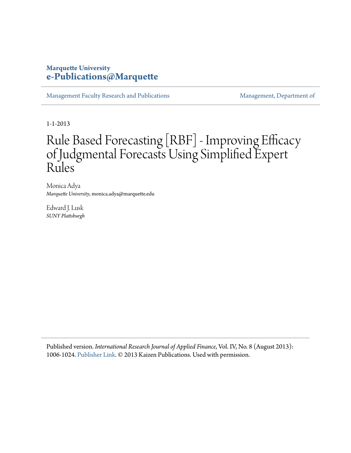## **Marquette University [e-Publications@Marquette](https://epublications.marquette.edu)**

[Management Faculty Research and Publications](https://epublications.marquette.edu/mgmt_fac) [Management, Department of](https://epublications.marquette.edu/mgmt)

1-1-2013

# Rule Based Forecasting [RBF] - Improving Efficacy of Judgmental Forecasts Using Simplified Expert Rules

Monica Adya *Marquette University*, monica.adya@marquette.edu

Edward J. Lusk *SUNY Plattsburgh*

Published version. *International Research Journal of Applied Finance*, Vol. IV, No. 8 (August 2013): 1006-1024. [Publisher Link.](https://www.irjaf.com/volume.-iv--2013-.html) © 2013 Kaizen Publications. Used with permission.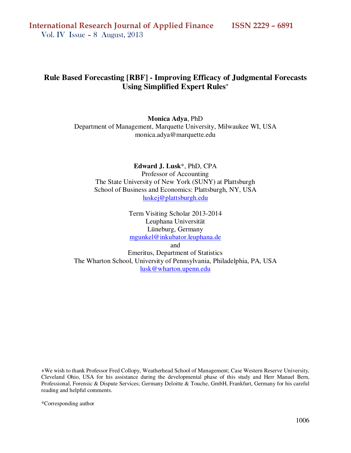## **Rule Based Forecasting [RBF] - Improving Efficacy of Judgmental Forecasts Using Simplified Expert Rules<sup>+</sup>**

**Monica Adya**, PhD Department of Management, Marquette University, Milwaukee WI, USA monica.adya@marquette.edu

**Edward J. Lusk**\*, PhD, CPA Professor of Accounting The State University of New York (SUNY) at Plattsburgh School of Business and Economics: Plattsburgh, NY, USA luskej@plattsburgh.edu

> Term Visiting Scholar 2013-2014 Leuphana Universität Lüneburg, Germany mgunkel@inkubator.leuphana.de

> > and

Emeritus, Department of Statistics The Wharton School, University of Pennsylvania, Philadelphia, PA, USA lusk@wharton.upenn.edu

+We wish to thank Professor Fred Collopy, Weatherhead School of Management; Case Western Reserve University, Cleveland Ohio, USA for his assistance during the developmental phase of this study and Herr Manuel Bern, Professional, Forensic & Dispute Services; Germany Deloitte & Touche, GmbH, Frankfurt, Germany for his careful reading and helpful comments.

\*Corresponding author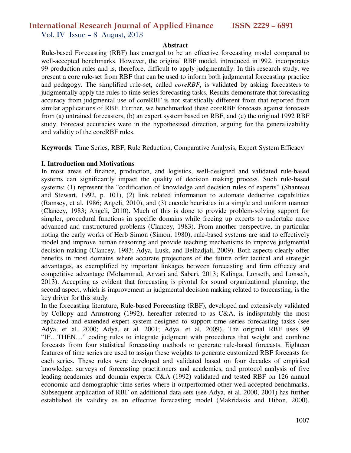Vol. IV Issue – 8 August, 2013

#### **Abstract**

Rule-based Forecasting (RBF) has emerged to be an effective forecasting model compared to well-accepted benchmarks. However, the original RBF model, introduced in1992, incorporates 99 production rules and is, therefore, difficult to apply judgmentally. In this research study, we present a core rule-set from RBF that can be used to inform both judgmental forecasting practice and pedagogy. The simplified rule-set, called *coreRBF*, is validated by asking forecasters to judgmentally apply the rules to time series forecasting tasks. Results demonstrate that forecasting accuracy from judgmental use of coreRBF is not statistically different from that reported from similar applications of RBF. Further, we benchmarked these coreRBF forecasts against forecasts from (a) untrained forecasters, (b) an expert system based on RBF, and (c) the original 1992 RBF study. Forecast accuracies were in the hypothesized direction, arguing for the generalizability and validity of the coreRBF rules.

**Keywords**: Time Series, RBF, Rule Reduction, Comparative Analysis, Expert System Efficacy

#### **I. Introduction and Motivations**

In most areas of finance, production, and logistics, well-designed and validated rule-based systems can significantly impact the quality of decision making process. Such rule-based systems: (1) represent the "codification of knowledge and decision rules of experts" (Shanteau and Stewart, 1992, p. 101), (2) link related information to automate deductive capabilities (Ramsey, et al. 1986; Angeli, 2010), and (3) encode heuristics in a simple and uniform manner (Clancey, 1983; Angeli, 2010). Much of this is done to provide problem-solving support for simpler, procedural functions in specific domains while freeing up experts to undertake more advanced and unstructured problems (Clancey, 1983). From another perspective, in particular noting the early works of Herb Simon (Simon, 1980), rule-based systems are said to effectively model and improve human reasoning and provide teaching mechanisms to improve judgmental decision making (Clancey, 1983; Adya, Lusk, and Belhadjali, 2009). Both aspects clearly offer benefits in most domains where accurate projections of the future offer tactical and strategic advantages, as exemplified by important linkages between forecasting and firm efficacy and competitive advantage (Mohammad, Anvari and Saberi, 2013; Kalinga, Lonseth, and Lonseth, 2013). Accepting as evident that forecasting is pivotal for sound organizational planning, the second aspect, which is improvement in judgmental decision making related to forecasting, is the key driver for this study.

In the forecasting literature, Rule-based Forecasting (RBF), developed and extensively validated by Collopy and Armstrong (1992), hereafter referred to as C&A, is indisputably the most replicated and extended expert system designed to support time series forecasting tasks (see Adya, et al. 2000; Adya, et al. 2001; Adya, et al, 2009). The original RBF uses 99 "IF…THEN…" coding rules to integrate judgment with procedures that weight and combine forecasts from four statistical forecasting methods to generate rule-based forecasts. Eighteen features of time series are used to assign these weights to generate customized RBF forecasts for each series. These rules were developed and validated based on four decades of empirical knowledge, surveys of forecasting practitioners and academics, and protocol analysis of five leading academics and domain experts. C&A (1992) validated and tested RBF on 126 annual economic and demographic time series where it outperformed other well-accepted benchmarks. Subsequent application of RBF on additional data sets (see Adya, et al. 2000, 2001) has further established its validity as an effective forecasting model (Makridakis and Hibon, 2000).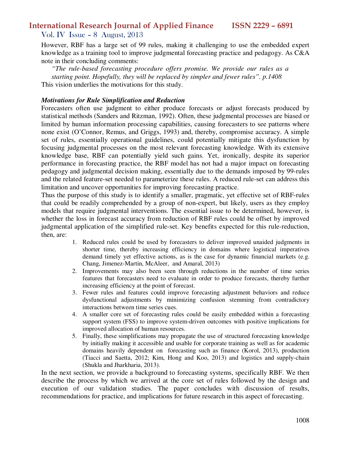Vol. IV Issue – 8 August, 2013

However, RBF has a large set of 99 rules, making it challenging to use the embedded expert knowledge as a training tool to improve judgmental forecasting practice and pedagogy. As C&A note in their concluding comments:

*"The rule-based forecasting procedure offers promise. We provide our rules as a starting point. Hopefully, they will be replaced by simpler and fewer rules". p.1408*  This vision underlies the motivations for this study.

#### *Motivations for Rule Simplification and Reduction*

Forecasters often use judgment to either produce forecasts or adjust forecasts produced by statistical methods (Sanders and Ritzman, 1992). Often, these judgmental processes are biased or limited by human information processing capabilities, causing forecasters to see patterns where none exist (O'Connor, Remus, and Griggs, 1993) and, thereby, compromise accuracy. A simple set of rules, essentially operational guidelines, could potentially mitigate this dysfunction by focusing judgmental processes on the most relevant forecasting knowledge. With its extensive knowledge base, RBF can potentially yield such gains. Yet, ironically, despite its superior performance in forecasting practice, the RBF model has not had a major impact on forecasting pedagogy and judgmental decision making, essentially due to the demands imposed by 99-rules and the related feature-set needed to parameterize these rules. A reduced rule-set can address this limitation and uncover opportunities for improving forecasting practice.

Thus the purpose of this study is to identify a smaller, pragmatic, yet effective set of RBF-rules that could be readily comprehended by a group of non-expert, but likely, users as they employ models that require judgmental interventions. The essential issue to be determined, however, is whether the loss in forecast accuracy from reduction of RBF rules could be offset by improved judgmental application of the simplified rule-set. Key benefits expected for this rule-reduction, then, are:

- 1. Reduced rules could be used by forecasters to deliver improved unaided judgments in shorter time, thereby increasing efficiency in domains where logistical imperatives demand timely yet effective actions, as is the case for dynamic financial markets (e.g. Chang, Jimenez-Martin, McAleer, and Amaral, 2013)
- 2. Improvements may also been seen through reductions in the number of time series features that forecasters need to evaluate in order to produce forecasts, thereby further increasing efficiency at the point of forecast.
- 3. Fewer rules and features could improve forecasting adjustment behaviors and reduce dysfunctional adjustments by minimizing confusion stemming from contradictory interactions between time series cues.
- 4. A smaller core set of forecasting rules could be easily embedded within a forecasting support system (FSS) to improve system-driven outcomes with positive implications for improved allocation of human resources.
- 5. Finally, these simplifications may propagate the use of structured forecasting knowledge by initially making it accessible and usable for corporate training as well as for academic domains heavily dependent on forecasting such as finance (Korol, 2013), production (Tiacci and Saetta, 2012; Kim, Hong and Koo, 2013) and logistics and supply-chain (Shukla and Jharkharia, 2013).

In the next section, we provide a background to forecasting systems, specifically RBF. We then describe the process by which we arrived at the core set of rules followed by the design and execution of our validation studies. The paper concludes with discussion of results, recommendations for practice, and implications for future research in this aspect of forecasting.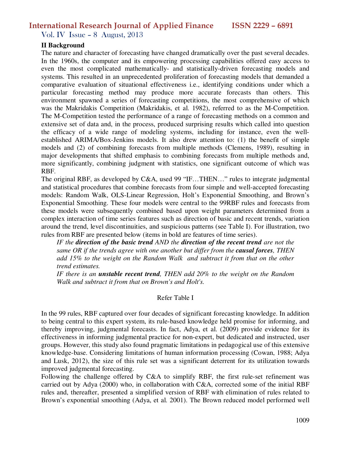Vol. IV Issue – 8 August, 2013

#### **II Background**

The nature and character of forecasting have changed dramatically over the past several decades. In the 1960s, the computer and its empowering processing capabilities offered easy access to even the most complicated mathematically- and statistically-driven forecasting models and systems. This resulted in an unprecedented proliferation of forecasting models that demanded a comparative evaluation of situational effectiveness i.e., identifying conditions under which a particular forecasting method may produce more accurate forecasts than others. This environment spawned a series of forecasting competitions, the most comprehensive of which was the Makridakis Competition (Makridakis, et al. 1982), referred to as the M-Competition. The M-Competition tested the performance of a range of forecasting methods on a common and extensive set of data and, in the process, produced surprising results which called into question the efficacy of a wide range of modeling systems, including for instance, even the wellestablished ARIMA/Box-Jenkins models. It also drew attention to: (1) the benefit of simple models and (2) of combining forecasts from multiple methods (Clemens, 1989), resulting in major developments that shifted emphasis to combining forecasts from multiple methods and, more significantly, combining judgment with statistics, one significant outcome of which was RBF.

The original RBF, as developed by C&A, used 99 "IF…THEN…" rules to integrate judgmental and statistical procedures that combine forecasts from four simple and well-accepted forecasting models: Random Walk, OLS-Linear Regression, Holt's Exponential Smoothing, and Brown's Exponential Smoothing. These four models were central to the 99RBF rules and forecasts from these models were subsequently combined based upon weight parameters determined from a complex interaction of time series features such as direction of basic and recent trends, variation around the trend, level discontinuities, and suspicious patterns (see Table I). For illustration, two rules from RBF are presented below (items in bold are features of time series).

*IF the direction of the basic trend AND the direction of the recent trend are not the same OR if the trends agree with one another but differ from the causal forces, THEN add 15% to the weight on the Random Walk and subtract it from that on the other trend estimates.* 

*IF there is an unstable recent trend, THEN add 20% to the weight on the Random Walk and subtract it from that on Brown's and Holt's.* 

#### Refer Table I

In the 99 rules, RBF captured over four decades of significant forecasting knowledge. In addition to being central to this expert system, its rule-based knowledge held promise for informing, and thereby improving, judgmental forecasts. In fact, Adya, et al. (2009) provide evidence for its effectiveness in informing judgmental practice for non-expert, but dedicated and instructed, user groups. However, this study also found pragmatic limitations in pedagogical use of this extensive knowledge-base. Considering limitations of human information processing (Cowan, 1988; Adya and Lusk, 2012), the size of this rule set was a significant deterrent for its utilization towards improved judgmental forecasting.

Following the challenge offered by C&A to simplify RBF, the first rule-set refinement was carried out by Adya (2000) who, in collaboration with C&A, corrected some of the initial RBF rules and, thereafter, presented a simplified version of RBF with elimination of rules related to Brown's exponential smoothing (Adya, et al. 2001). The Brown reduced model performed well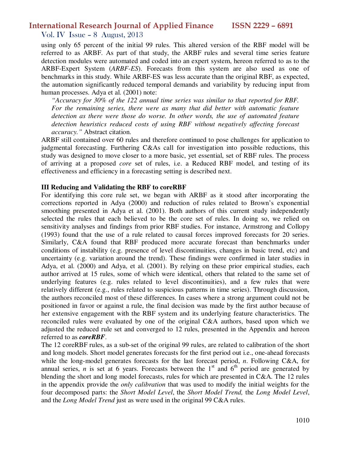Vol. IV Issue – 8 August, 2013

using only 65 percent of the initial 99 rules. This altered version of the RBF model will be referred to as ARBF. As part of that study, the ARBF rules and several time series feature detection modules were automated and coded into an expert system, hereon referred to as to the ARBF-Expert System (*ARBF-ES*). Forecasts from this system are also used as one of benchmarks in this study. While ARBF-ES was less accurate than the original RBF, as expected, the automation significantly reduced temporal demands and variability by reducing input from human processes. Adya et al. (2001) note:

*"Accuracy for 30% of the 122 annual time series was similar to that reported for RBF. For the remaining series, there were as many that did better with automatic feature detection as there were those do worse. In other words, the use of automated feature detection heuristics reduced costs of using RBF without negatively affecting forecast accuracy."* Abstract citation.

ARBF still contained over 60 rules and therefore continued to pose challenges for application to judgmental forecasting. Furthering C&As call for investigation into possible reductions, this study was designed to move closer to a more basic, yet essential, set of RBF rules. The process of arriving at a proposed *core* set of rules, i.e. a Reduced RBF model, and testing of its effectiveness and efficiency in a forecasting setting is described next.

#### **III Reducing and Validating the RBF to coreRBF**

For identifying this core rule set, we began with ARBF as it stood after incorporating the corrections reported in Adya (2000) and reduction of rules related to Brown's exponential smoothing presented in Adya et al. (2001). Both authors of this current study independently selected the rules that each believed to be the core set of rules. In doing so, we relied on sensitivity analyses and findings from prior RBF studies. For instance, Armstrong and Collopy (1993) found that the use of a rule related to causal forces improved forecasts for 20 series. Similarly, C&A found that RBF produced more accurate forecast than benchmarks under conditions of instability (e.g. presence of level discontinuities, changes in basic trend, etc) and uncertainty (e.g. variation around the trend). These findings were confirmed in later studies in Adya, et al. (2000) and Adya, et al. (2001). By relying on these prior empirical studies, each author arrived at 15 rules, some of which were identical, others that related to the same set of underlying features (e.g. rules related to level discontinuities), and a few rules that were relatively different (e.g., rules related to suspicious patterns in time series). Through discussion, the authors reconciled most of these differences. In cases where a strong argument could not be positioned in favor or against a rule, the final decision was made by the first author because of her extensive engagement with the RBF system and its underlying feature characteristics. The reconciled rules were evaluated by one of the original C&A authors, based upon which we adjusted the reduced rule set and converged to 12 rules, presented in the Appendix and hereon referred to as *coreRBF*.

The 12 coreRBF rules, as a sub-set of the original 99 rules, are related to calibration of the short and long models. Short model generates forecasts for the first period out i.e., one-ahead forecasts while the long-model generates forecasts for the last forecast period, *n*. Following C&A, for annual series, *n* is set at 6 years. Forecasts between the  $1<sup>st</sup>$  and  $6<sup>th</sup>$  period are generated by blending the short and long model forecasts, rules for which are presented in C&A. The 12 rules in the appendix provide the *only calibration* that was used to modify the initial weights for the four decomposed parts: the *Short Model Level*, the *Short Model Trend,* the *Long Model Level*, and the *Long Model Trend* just as were used in the original 99 C&A rules.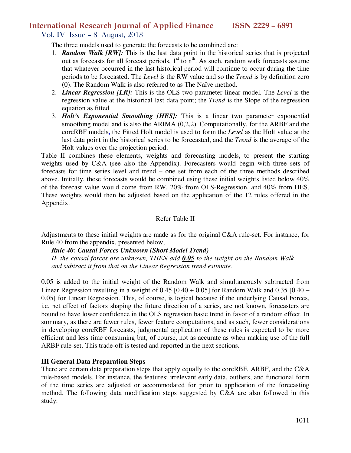Vol. IV Issue – 8 August, 2013

The three models used to generate the forecasts to be combined are:

- 1. *Random Walk [RW]:* This is the last data point in the historical series that is projected out as forecasts for all forecast periods,  $1<sup>st</sup>$  to  $n<sup>th</sup>$ . As such, random walk forecasts assume that whatever occurred in the last historical period will continue to occur during the time periods to be forecasted. The *Level* is the RW value and so the *Trend* is by definition zero (0). The Random Walk is also referred to as The Naïve method.
- 2. *Linear Regression [LR]:* This is the OLS two-parameter linear model. The *Level* is the regression value at the historical last data point; the *Trend* is the Slope of the regression equation as fitted.
- 3. *Holt's Exponential Smoothing [HES]:* This is a linear two parameter exponential smoothing model and is also the ARIMA (0,2,2). Computationally, for the ARBF and the coreRBF models**,** the Fitted Holt model is used to form the *Level* as the Holt value at the last data point in the historical series to be forecasted, and the *Trend* is the average of the Holt values over the projection period.

Table II combines these elements, weights and forecasting models, to present the starting weights used by C&A (see also the Appendix). Forecasters would begin with three sets of forecasts for time series level and trend – one set from each of the three methods described above. Initially, these forecasts would be combined using these initial weights listed below 40% of the forecast value would come from RW, 20% from OLS-Regression, and 40% from HES. These weights would then be adjusted based on the application of the 12 rules offered in the Appendix.

#### Refer Table II

Adjustments to these initial weights are made as for the original C&A rule-set. For instance, for Rule 40 from the appendix, presented below,

*Rule 40: Causal Forces Unknown (Short Model Trend)* 

*IF the causal forces are unknown, THEN add 0.05 to the weight on the Random Walk and subtract it from that on the Linear Regression trend estimate.* 

0.05 is added to the initial weight of the Random Walk and simultaneously subtracted from Linear Regression resulting in a weight of  $0.45$  [0.40 + 0.05] for Random Walk and  $0.35$  [0.40 – 0.05] for Linear Regression. This, of course, is logical because if the underlying Causal Forces, i.e. net effect of factors shaping the future direction of a series, are not known, forecasters are bound to have lower confidence in the OLS regression basic trend in favor of a random effect. In summary, as there are fewer rules, fewer feature computations, and as such, fewer considerations in developing coreRBF forecasts, judgmental application of these rules is expected to be more efficient and less time consuming but, of course, not as accurate as when making use of the full ARBF rule-set. This trade-off is tested and reported in the next sections.

#### **III General Data Preparation Steps**

There are certain data preparation steps that apply equally to the coreRBF, ARBF, and the C&A rule-based models. For instance, the features: irrelevant early data, outliers, and functional form of the time series are adjusted or accommodated for prior to application of the forecasting method. The following data modification steps suggested by C&A are also followed in this study: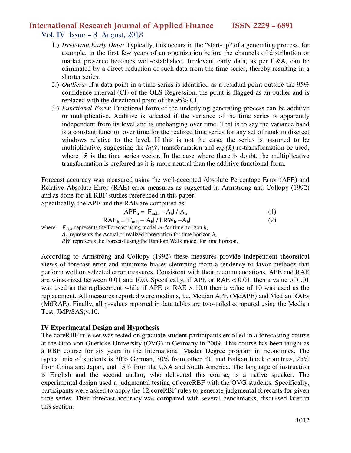Vol. IV Issue – 8 August, 2013

- 1.) *Irrelevant Early Data:* Typically, this occurs in the "start-up" of a generating process, for example, in the first few years of an organization before the channels of distribution or market presence becomes well-established. Irrelevant early data, as per C&A, can be eliminated by a direct reduction of such data from the time series, thereby resulting in a shorter series.
- 2.) *Outliers:* If a data point in a time series is identified as a residual point outside the 95% confidence interval (CI) of the OLS Regression, the point is flagged as an outlier and is replaced with the directional point of the 95% CI.
- 3.) *Functional Form*: Functional form of the underlying generating process can be additive or multiplicative. Additive is selected if the variance of the time series is apparently independent from its level and is unchanging over time. That is to say the variance band is a constant function over time for the realized time series for any set of random discreet windows relative to the level. If this is not the case, the series is assumed to be multiplicative, suggesting the  $ln(\hat{x})$  transformation and  $exp(\hat{x})$  re-transformation be used, where  $\hat{x}$  is the time series vector. In the case where there is doubt, the multiplicative transformation is preferred as it is more neutral than the additive functional form.

Forecast accuracy was measured using the well-accepted Absolute Percentage Error (APE) and Relative Absolute Error (RAE) error measures as suggested in Armstrong and Collopy (1992) and as done for all RBF studies referenced in this paper.

Specifically, the APE and the RAE are computed as:

$$
APE_h = |F_{m,h} - A_h| / A_h
$$
  
\n
$$
RAE_h = |F_{m,h} - A_h| / |RW_h - A_h|
$$
\n(1)

where:  $F_{m,h}$  represents the Forecast using model *m*, for time horizon *h*,

 $A_h$  represents the Actual or realized observation for time horizon  $h$ ,

RW represents the Forecast using the Random Walk model for time horizon.

According to Armstrong and Collopy (1992) these measures provide independent theoretical views of forecast error and minimize biases stemming from a tendency to favor methods that perform well on selected error measures. Consistent with their recommendations, APE and RAE are winsorized between 0.01 and 10.0. Specifically, if APE or RAE < 0.01, then a value of 0.01 was used as the replacement while if APE or RAE > 10.0 then a value of 10 was used as the replacement. All measures reported were medians, i.e. Median APE (MdAPE) and Median RAEs (MdRAE). Finally, all p-values reported in data tables are two-tailed computed using the Median Test, JMP/SAS;v.10.

#### **IV Experimental Design and Hypothesis**

The coreRBF rule-set was tested on graduate student participants enrolled in a forecasting course at the Otto-von-Guericke University (OVG) in Germany in 2009. This course has been taught as a RBF course for six years in the International Master Degree program in Economics. The typical mix of students is 30% German, 30% from other EU and Balkan block countries, 25% from China and Japan, and 15% from the USA and South America. The language of instruction is English and the second author, who delivered this course, is a native speaker. The experimental design used a judgmental testing of coreRBF with the OVG students. Specifically, participants were asked to apply the 12 coreRBF rules to generate judgmental forecasts for given time series. Their forecast accuracy was compared with several benchmarks, discussed later in this section.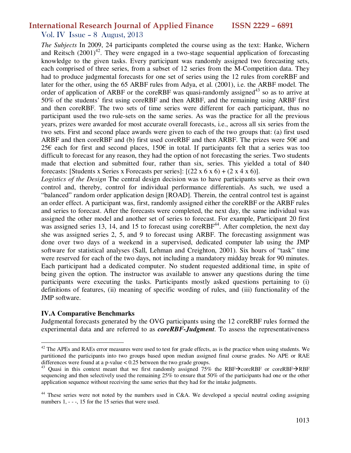#### Vol. IV Issue – 8 August, 2013

*The Subjects* In 2009, 24 participants completed the course using as the text: Hanke, Wichern and Reitsch  $(2001)^{42}$ . They were engaged in a two-stage sequential application of forecasting knowledge to the given tasks. Every participant was randomly assigned two forecasting sets, each comprised of three series, from a subset of 12 series from the M-Competition data. They had to produce judgmental forecasts for one set of series using the 12 rules from coreRBF and later for the other, using the 65 ARBF rules from Adya, et al. (2001), i.e. the ARBF model. The order of application of ARBF or the coreRBF was quasi-randomly assigned<sup>43</sup> so as to arrive at 50% of the students' first using coreRBF and then ARBF, and the remaining using ARBF first and then coreRBF. The two sets of time series were different for each participant, thus no participant used the two rule-sets on the same series. As was the practice for all the previous years, prizes were awarded for most accurate overall forecasts, i.e., across all six series from the two sets. First and second place awards were given to each of the two groups that: (a) first used ARBF and then coreRBF and (b) first used coreRBF and then ARBF. The prizes were 50 $\epsilon$  and 25€ each for first and second places, 150€ in total. If participants felt that a series was too difficult to forecast for any reason, they had the option of not forecasting the series. Two students made that election and submitted four, rather than six, series. This yielded a total of 840 forecasts: [Students x Series x Forecasts per series]:  $[(22 \times 6 \times 6) + (2 \times 4 \times 6)]$ .

*Logistics of the Design* The central design decision was to have participants serve as their own control and, thereby, control for individual performance differentials. As such, we used a "balanced" random order application design [ROAD]. Therein, the central control test is against an order effect. A participant was, first, randomly assigned either the coreRBF or the ARBF rules and series to forecast. After the forecasts were completed, the next day, the same individual was assigned the other model and another set of series to forecast. For example, Participant 20 first was assigned series 13, 14, and 15 to forecast using core RBF<sup>44</sup>. After completion, the next day she was assigned series 2, 5, and 9 to forecast using ARBF. The forecasting assignment was done over two days of a weekend in a supervised, dedicated computer lab using the JMP software for statistical analyses (Sall, Lehman and Creighton, 2001). Six hours of "task" time were reserved for each of the two days, not including a mandatory midday break for 90 minutes. Each participant had a dedicated computer. No student requested additional time, in spite of being given the option. The instructor was available to answer any questions during the time participants were executing the tasks. Participants mostly asked questions pertaining to (i) definitions of features, (ii) meaning of specific wording of rules, and (iii) functionality of the JMP software.

#### **IV.A Comparative Benchmarks**

 $\overline{a}$ 

Judgmental forecasts generated by the OVG participants using the 12 coreRBF rules formed the experimental data and are referred to as *coreRBF-Judgment*. To assess the representativeness

 $42$  The APEs and RAEs error measures were used to test for grade effects, as is the practice when using students. We partitioned the participants into two groups based upon median assigned final course grades. No APE or RAE differences were found at a p-value  $\lt 0.25$  between the two grade groups.

<sup>&</sup>lt;sup>43</sup> Quasi in this context meant that we first randomly assigned  $75\%$  the RBF $\rightarrow$ coreRBF $\rightarrow$ RBF sequencing and then selectively used the remaining 25% to ensure that 50% of the participants had one or the other application sequence without receiving the same series that they had for the intake judgments.

<sup>&</sup>lt;sup>44</sup> These series were not noted by the numbers used in C&A. We developed a special neutral coding assigning numbers 1,  $-$  -, 15 for the 15 series that were used.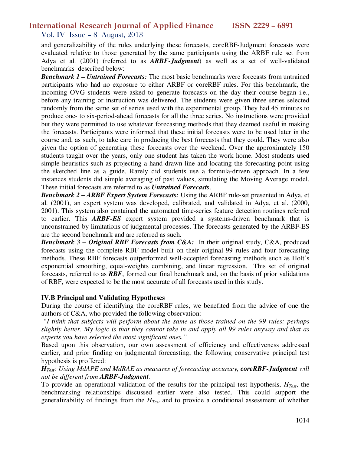Vol. IV Issue – 8 August, 2013

and generalizability of the rules underlying these forecasts, coreRBF-Judgment forecasts were evaluated relative to those generated by the same participants using the ARBF rule set from Adya et al. (2001) (referred to as *ARBF-Judgment*) as well as a set of well-validated benchmarks described below:

*Benchmark 1 – Untrained Forecasts:* The most basic benchmarks were forecasts from untrained participants who had no exposure to either ARBF or coreRBF rules. For this benchmark, the incoming OVG students were asked to generate forecasts on the day their course began i.e., before any training or instruction was delivered. The students were given three series selected randomly from the same set of series used with the experimental group. They had 45 minutes to produce one- to six-period-ahead forecasts for all the three series. No instructions were provided but they were permitted to use whatever forecasting methods that they deemed useful in making the forecasts. Participants were informed that these initial forecasts were to be used later in the course and, as such, to take care in producing the best forecasts that they could. They were also given the option of generating these forecasts over the weekend. Over the approximately 150 students taught over the years, only one student has taken the work home. Most students used simple heuristics such as projecting a hand-drawn line and locating the forecasting point using the sketched line as a guide. Rarely did students use a formula-driven approach. In a few instances students did simple averaging of past values, simulating the Moving Average model. These initial forecasts are referred to as *Untrained Forecasts*.

*Benchmark 2 – ARBF Expert System Forecasts:* Using the ARBF rule-set presented in Adya, et al. (2001), an expert system was developed, calibrated, and validated in Adya, et al. (2000, 2001). This system also contained the automated time-series feature detection routines referred to earlier. This *ARBF-ES* expert system provided a systems-driven benchmark that is unconstrained by limitations of judgmental processes. The forecasts generated by the ARBF-ES are the second benchmark and are referred as such.

*Benchmark 3 – Original RBF Forecasts from C&A:* In their original study, C&A, produced forecasts using the complete RBF model built on their original 99 rules and four forecasting methods. These RBF forecasts outperformed well-accepted forecasting methods such as Holt's exponential smoothing, equal-weights combining, and linear regression. This set of original forecasts, referred to as *RBF*, formed our final benchmark and, on the basis of prior validations of RBF, were expected to be the most accurate of all forecasts used in this study.

#### **IV.B Principal and Validating Hypotheses**

During the course of identifying the coreRBF rules, we benefited from the advice of one the authors of C&A, who provided the following observation:

*"I think that subjects will perform about the same as those trained on the 99 rules; perhaps slightly better. My logic is that they cannot take in and apply all 99 rules anyway and that as experts you have selected the most significant ones."* 

Based upon this observation, our own assessment of efficiency and effectiveness addressed earlier, and prior finding on judgmental forecasting, the following conservative principal test hypothesis is proffered:

#### *HTest: Using MdAPE and MdRAE as measures of forecasting accuracy, coreRBF-Judgment will not be different from ARBF-Judgment.*

To provide an operational validation of the results for the principal test hypothesis, *HTest*, the benchmarking relationships discussed earlier were also tested. This could support the generalizability of findings from the *HTest* and to provide a conditional assessment of whether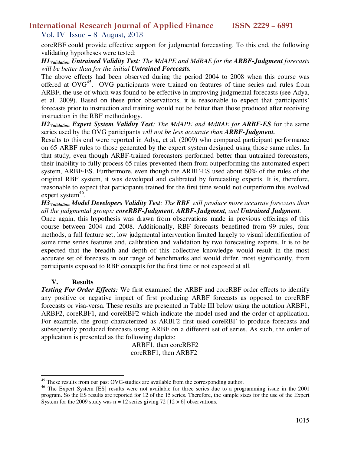Vol. IV Issue – 8 August, 2013

coreRBF could provide effective support for judgmental forecasting. To this end, the following validating hypotheses were tested:

#### *H1Validation Untrained Validity Test: The MdAPE and MdRAE for the ARBF-Judgment forecasts will be better than for the initial Untrained Forecasts.*

The above effects had been observed during the period 2004 to 2008 when this course was offered at  $OVG^{45}$ . OVG participants were trained on features of time series and rules from ARBF, the use of which was found to be effective in improving judgmental forecasts (see Adya, et al. 2009). Based on these prior observations, it is reasonable to expect that participants' forecasts prior to instruction and training would not be better than those produced after receiving instruction in the RBF methodology.

*H2Validation Expert System Validity Test: The MdAPE and MdRAE for ARBF-ES* for the same series used by the OVG participants *will not be less accurate than ARBF-Judgment.* 

Results to this end were reported in Adya, et al. (2009) who compared participant performance on 65 ARBF rules to those generated by the expert system designed using those same rules. In that study, even though ARBF-trained forecasters performed better than untrained forecasters, their inability to fully process 65 rules prevented them from outperforming the automated expert system, ARBF-ES. Furthermore, even though the ARBF-ES used about 60% of the rules of the original RBF system, it was developed and calibrated by forecasting experts. It is, therefore, reasonable to expect that participants trained for the first time would not outperform this evolved expert system<sup>46</sup>.

*H3Validation Model Developers Validity Test: The RBF will produce more accurate forecasts than all the judgmental groups: coreRBF-Judgment, ARBF-Judgment, and Untrained Judgment.* 

Once again, this hypothesis was drawn from observations made in previous offerings of this course between 2004 and 2008. Additionally, RBF forecasts benefitted from 99 rules, four methods, a full feature set, low judgmental intervention limited largely to visual identification of some time series features and, calibration and validation by two forecasting experts. It is to be expected that the breadth and depth of this collective knowledge would result in the most accurate set of forecasts in our range of benchmarks and would differ, most significantly, from participants exposed to RBF concepts for the first time or not exposed at all.

#### **V. Results**

 $\overline{a}$ 

*Testing For Order Effects:* We first examined the ARBF and coreRBF order effects to identify any positive or negative impact of first producing ARBF forecasts as opposed to coreRBF forecasts or visa-versa. These results are presented in Table III below using the notation ARBF1, ARBF2, coreRBF1, and coreRBF2 which indicate the model used and the order of application. For example, the group characterized as ARBF2 first used coreRBF to produce forecasts and subsequently produced forecasts using ARBF on a different set of series. As such, the order of application is presented as the following duplets:

 ARBF1, then coreRBF2 coreRBF1, then ARBF2

<sup>&</sup>lt;sup>45</sup> These results from our past OVG-studies are available from the corresponding author.

<sup>&</sup>lt;sup>46</sup> The Expert System [ES] results were not available for three series due to a programming issue in the 2001 program. So the ES results are reported for 12 of the 15 series. Therefore, the sample sizes for the use of the Expert System for the 2009 study was  $n = 12$  series giving 72 [12  $\times$  6] observations.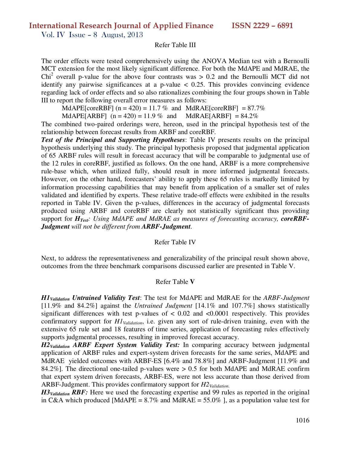Vol. IV Issue – 8 August, 2013

#### Refer Table III

The order effects were tested comprehensively using the ANOVA Median test with a Bernoulli MCT extension for the most likely significant difference. For both the MdAPE and MdRAE, the Chi<sup>2</sup> overall p-value for the above four contrasts was  $> 0.2$  and the Bernoulli MCT did not identify any pairwise significances at a p-value  $\langle 0.25, 1 \rangle$  This provides convincing evidence regarding lack of order effects and so also rationalizes combining the four groups shown in Table III to report the following overall error measures as follows:

MdAPE[coreRBF]  $(n = 420) = 11.7 %$  and MdRAE[coreRBF] = 87.7%

MdAPE[ARBF]  $(n = 420) = 11.9\%$  and MdRAE[ARBF] = 84.2%

The combined two-paired orderings were, hereon, used in the principal hypothesis test of the relationship between forecast results from ARBF and coreRBF.

*Test of the Principal and Supporting Hypotheses*: Table IV presents results on the principal hypothesis underlying this study. The principal hypothesis proposed that judgmental application of 65 ARBF rules will result in forecast accuracy that will be comparable to judgmental use of the 12 rules in coreRBF, justified as follows. On the one hand, ARBF is a more comprehensive rule-base which, when utilized fully, should result in more informed judgmental forecasts. However, on the other hand, forecasters' ability to apply these 65 rules is markedly limited by information processing capabilities that may benefit from application of a smaller set of rules validated and identified by experts. These relative trade-off effects were exhibited in the results reported in Table IV. Given the p-values, differences in the accuracy of judgmental forecasts produced using ARBF and coreRBF are clearly not statistically significant thus providing support for *HTest: Using MdAPE and MdRAE as measures of forecasting accuracy, coreRBF-Judgment will not be different from ARBF-Judgment.*

#### Refer Table IV

Next, to address the representativeness and generalizability of the principal result shown above, outcomes from the three benchmark comparisons discussed earlier are presented in Table V.

#### Refer Table **V**

*H1Validation Untrained Validity Test*: The test for MdAPE and MdRAE for the *ARBF-Judgment* [11.9% and 84.2%] against the *Untrained Judgment* [14.1% and 107.7%] shows statistically significant differences with test p-values of  $< 0.02$  and  $< 0.0001$  respectively. This provides confirmatory support for *H1Validation*, i.e. given any sort of rule-driven training, even with the extensive 65 rule set and 18 features of time series, application of forecasting rules effectively supports judgmental processes, resulting in improved forecast accuracy.

*H2Validation ARBF Expert System Validity Test:* In comparing accuracy between judgmental application of ARBF rules and expert-system driven forecasts for the same series, MdAPE and MdRAE yielded outcomes with ARBF-ES [6.4% and 78.8%] and ARBF-Judgment [11.9% and 84.2%]. The directional one-tailed p-values were  $> 0.5$  for both MdAPE and MdRAE confirm that expert system driven forecasts, ARBF-ES, were not less accurate than those derived from ARBF-Judgment. This provides confirmatory support for *H2Validation.*

*H3Validation RBF:* Here we used the forecasting expertise and 99 rules as reported in the original in C&A which produced [MdAPE =  $8.7\%$  and MdRAE =  $55.0\%$  ], as a population value test for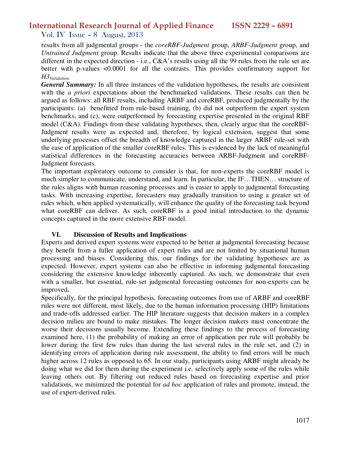#### Vol. IV Issue – 8 August, 2013

results from all judgmental groups - the *coreRBF-Judgment* group, *ARBF-Judgment* group, and *Untrained Judgment* group. Results indicate that the above three experimental comparisons are different in the expected direction - i.e., C&A's results using all the 99 rules from the rule set are better with p-values <0.0001 for all the contrasts. This provides confirmatory support for *H3Validation.* 

*General Summary:* In all three instances of the validation hypotheses, the results are consistent with the *a priori* expectations about the benchmarked validations. These results can then be argued as follows: all RBF results, including ARBF and coreRBF, produced judgmentally by the participants: (a) benefitted from rule-based training, (b) did not outperform the expert system benchmarks, and (c), were outperformed by forecasting expertise presented in the original RBF model (C&A). Findings from these validating hypotheses, then, clearly argue that the coreRBF-Judgment results were as expected and, therefore, by logical extension, suggest that some underlying processes offset the breadth of knowledge captured in the larger ARBF rule-set with the ease of application of the smaller coreRBF rules. This is evidenced by the lack of meaningful statistical differences in the forecasting accuracies between ARBF-Judgment and coreRBF-Judgment forecasts.

The important exploratory outcome to consider is that, for non-experts the coreRBF model is much simpler to communicate, understand, and learn. In particular, the IF…THEN… structure of the rules aligns with human reasoning processes and is easier to apply to judgmental forecasting tasks. With increasing expertise, forecasters may gradually transition to using a greater set of rules which, when applied systematically, will enhance the quality of the forecasting task beyond what coreRBF can deliver. As such, coreRBF is a good initial introduction to the dynamic concepts captured in the more extensive RBF model.

#### **VI. Discussion of Results and Implications**

Experts and derived expert systems were expected to be better at judgmental forecasting because they benefit from a fuller application of expert rules and are not limited by situational human processing and biases. Considering this, our findings for the validating hypotheses are as expected. However, expert systems can also be effective in informing judgmental forecasting considering the extensive knowledge inherently captured. As such, we demonstrate that even with a smaller, but essential, rule-set judgmental forecasting outcomes for non-experts can be improved**.**

Specifically, for the principal hypothesis, forecasting outcomes from use of ARBF and coreRBF rules were not different, most likely, due to the human information processing (HIP) limitations and trade-offs addressed earlier. The HIP literature suggests that decision makers in a complex decision milieu are bound to make mistakes. The longer decision makers must concentrate the worse their decisions usually become. Extending these findings to the process of forecasting examined here, (1) the probability of making an error of application per rule will probably be lower during the first few rules than during the last several rules in the rule set, and (2) in identifying errors of application during rule assessment, the ability to find errors will be much higher across 12 rules as opposed to 65. In our study, participants using ARBF might already be doing what we did for them during the experiment i.e. selectively apply some of the rules while leaving others out. By filtering out reduced rules based on forecasting expertise and prior validations, we minimized the potential for *ad hoc* application of rules and promote, instead, the use of expert-derived rules.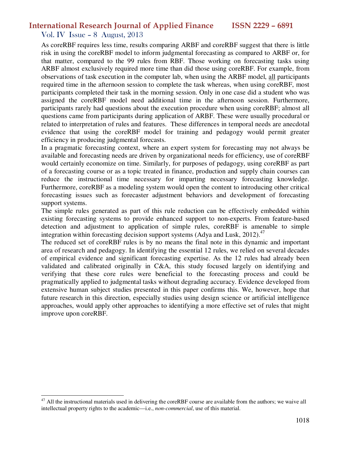### Vol. IV Issue – 8 August, 2013

 $\overline{a}$ 

As coreRBF requires less time, results comparing ARBF and coreRBF suggest that there is little risk in using the coreRBF model to inform judgmental forecasting as compared to ARBF or, for that matter, compared to the 99 rules from RBF. Those working on forecasting tasks using ARBF almost exclusively required more time than did those using coreRBF. For example, from observations of task execution in the computer lab, when using the ARBF model, all participants required time in the afternoon session to complete the task whereas, when using coreRBF, most participants completed their task in the morning session. Only in one case did a student who was assigned the coreRBF model need additional time in the afternoon session. Furthermore, participants rarely had questions about the execution procedure when using coreRBF; almost all questions came from participants during application of ARBF. These were usually procedural or related to interpretation of rules and features. These differences in temporal needs are anecdotal evidence that using the coreRBF model for training and pedagogy would permit greater efficiency in producing judgmental forecasts.

In a pragmatic forecasting context, where an expert system for forecasting may not always be available and forecasting needs are driven by organizational needs for efficiency, use of coreRBF would certainly economize on time. Similarly, for purposes of pedagogy, using coreRBF as part of a forecasting course or as a topic treated in finance, production and supply chain courses can reduce the instructional time necessary for imparting necessary forecasting knowledge. Furthermore, coreRBF as a modeling system would open the content to introducing other critical forecasting issues such as forecaster adjustment behaviors and development of forecasting support systems.

The simple rules generated as part of this rule reduction can be effectively embedded within existing forecasting systems to provide enhanced support to non-experts. From feature-based detection and adjustment to application of simple rules, coreRBF is amenable to simple integration within forecasting decision support systems (Adya and Lusk, 2012).<sup>47</sup>

The reduced set of coreRBF rules is by no means the final note in this dynamic and important area of research and pedagogy. In identifying the essential 12 rules, we relied on several decades of empirical evidence and significant forecasting expertise. As the 12 rules had already been validated and calibrated originally in C&A, this study focused largely on identifying and verifying that these core rules were beneficial to the forecasting process and could be pragmatically applied to judgmental tasks without degrading accuracy. Evidence developed from extensive human subject studies presented in this paper confirms this. We, however, hope that future research in this direction, especially studies using design science or artificial intelligence approaches, would apply other approaches to identifying a more effective set of rules that might improve upon coreRBF.

 $47$  All the instructional materials used in delivering the coreRBF course are available from the authors; we waive all intellectual property rights to the academic—i.e., *non-commercial*, use of this material.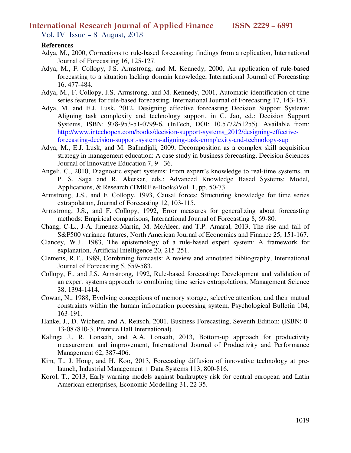Vol. IV Issue – 8 August, 2013

#### **References**

- Adya, M., 2000, Corrections to rule-based forecasting: findings from a replication, International Journal of Forecasting 16, 125-127.
- Adya, M., F. Collopy, J.S. Armstrong, and M. Kennedy, 2000, An application of rule-based forecasting to a situation lacking domain knowledge, International Journal of Forecasting 16, 477-484.
- Adya, M., F. Collopy, J.S. Armstrong, and M. Kennedy, 2001, Automatic identification of time series features for rule-based forecasting, International Journal of Forecasting 17, 143-157.
- Adya, M. and E.J. Lusk, 2012, Designing effective forecasting Decision Support Systems: Aligning task complexity and technology support, in C. Jao, ed.: Decision Support Systems, ISBN: 978-953-51-0799-6, (InTech, DOI: 10.5772/51255). Available from: http://www.intechopen.com/books/decision-support-systems\_2012/designing-effectiveforecasting-decision-support-systems-aligning-task-complexity-and-technology-sup
- Adya, M., E.J. Lusk, and M. Balhadjali, 2009, Decomposition as a complex skill acquisition strategy in management education: A case study in business forecasting, Decision Sciences Journal of Innovative Education 7, 9 - 36.
- Angeli, C., 2010, Diagnostic expert systems: From expert's knowledge to real-time systems, in P. S. Sajja and R. Akerkar, eds.: Advanced Knowledge Based Systems: Model, Applications, & Research (TMRF e-Books)Vol. 1, pp. 50-73.
- Armstrong, J.S., and F. Collopy, 1993, Causal forces: Structuring knowledge for time series extrapolation, Journal of Forecasting 12, 103-115.
- Armstrong, J.S., and F. Collopy, 1992, Error measures for generalizing about forecasting methods: Empirical comparisons, International Journal of Forecasting 8, 69-80.
- Chang, C-L., J-A. Jimenez-Martin, M. McAleer, and T.P. Amaral, 2013, The rise and fall of S&P500 variance futures, North American Journal of Economics and Finance 25, 151-167.
- Clancey, W.J., 1983, The epistemology of a rule-based expert system: A framework for explanation, Artificial Intelligence 20, 215-251.
- Clemens, R.T., 1989, Combining forecasts: A review and annotated bibliography, International Journal of Forecasting 5, 559-583.
- Collopy, F., and J.S. Armstrong, 1992, Rule-based forecasting: Development and validation of an expert systems approach to combining time series extrapolations, Management Science 38, 1394-1414.
- Cowan, N., 1988, Evolving conceptions of memory storage, selective attention, and their mutual constraints within the human infromation processing system, Psychological Bulletin 104, 163-191.
- Hanke, J., D. Wichern, and A. Reitsch, 2001, Business Forecasting, Seventh Edition: (ISBN: 0- 13-087810-3, Prentice Hall International).
- Kalinga J., R. Lonseth, and A.A. Lonseth, 2013, Bottom-up approach for productivity measurement and improvement, International Journal of Productivity and Performance Management 62, 387-406.
- Kim, T., J. Hong, and H. Koo, 2013, Forecasting diffusion of innovative technology at prelaunch, Industrial Management + Data Systems 113, 800-816.
- Korol, T., 2013, Early warning models against bankruptcy risk for central european and Latin American enterprises, Economic Modelling 31, 22-35.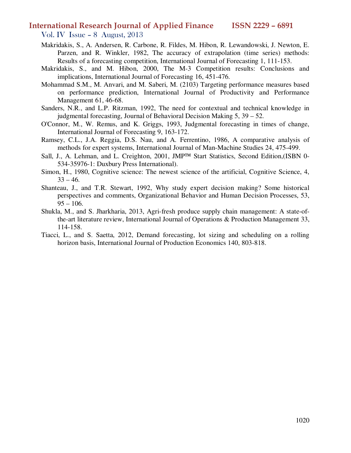- Vol. IV Issue 8 August, 2013
- Makridakis, S., A. Andersen, R. Carbone, R. Fildes, M. Hibon, R. Lewandowski, J. Newton, E. Parzen, and R. Winkler, 1982, The accuracy of extrapolation (time series) methods: Results of a forecasting competition, International Journal of Forecasting 1, 111-153.
- Makridakis, S., and M. Hibon, 2000, The M-3 Competition results: Conclusions and implications, International Journal of Forecasting 16, 451-476.
- Mohammad S.M., M. Anvari, and M. Saberi, M. (2103) Targeting performance measures based on performance prediction, International Journal of Productivity and Performance Management 61, 46-68.
- Sanders, N.R., and L.P. Ritzman, 1992, The need for contextual and technical knowledge in judgmental forecasting, Journal of Behavioral Decision Making 5, 39 – 52.
- O'Connor, M., W. Remus, and K. Griggs, 1993, Judgmental forecasting in times of change, International Journal of Forecasting 9, 163-172.
- Ramsey, C.L., J.A. Reggia, D.S. Nau, and A. Ferrentino, 1986, A comparative analysis of methods for expert systems, International Journal of Man-Machine Studies 24, 475-499.
- Sall, J., A. Lehman, and L. Creighton, 2001, JMP™ Start Statistics, Second Edition,(ISBN 0-534-35976-1: Duxbury Press International).
- Simon, H., 1980, Cognitive science: The newest science of the artificial, Cognitive Science, 4,  $33 - 46.$
- Shanteau, J., and T.R. Stewart, 1992, Why study expert decision making? Some historical perspectives and comments, Organizational Behavior and Human Decision Processes, 53,  $95 - 106.$
- Shukla, M., and S. Jharkharia, 2013, Agri-fresh produce supply chain management: A state-ofthe-art literature review, International Journal of Operations & Production Management 33, 114-158.
- Tiacci, L., and S. Saetta, 2012, Demand forecasting, lot sizing and scheduling on a rolling horizon basis, International Journal of Production Economics 140, 803-818.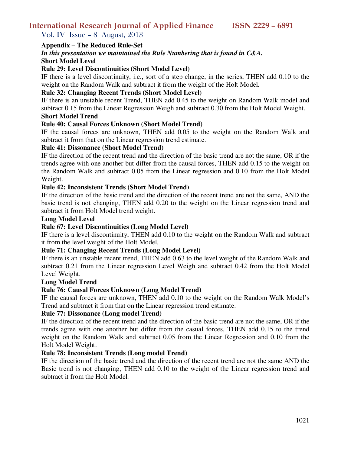Vol. IV Issue – 8 August, 2013

#### **Appendix – The Reduced Rule-Set**

## *In this presentation we maintained the Rule Numbering that is found in C&A.*

**Short Model Level** 

#### **Rule 29: Level Discontinuities (Short Model Level)**

IF there is a level discontinuity, i.e., sort of a step change, in the series, THEN add 0.10 to the weight on the Random Walk and subtract it from the weight of the Holt Model.

#### **Rule 32: Changing Recent Trends (Short Model Level)**

IF there is an unstable recent Trend, THEN add 0.45 to the weight on Random Walk model and subtract 0.15 from the Linear Regression Weigh and subtract 0.30 from the Holt Model Weight.

#### **Short Model Trend**

#### **Rule 40: Causal Forces Unknown (Short Model Trend)**

IF the causal forces are unknown, THEN add 0.05 to the weight on the Random Walk and subtract it from that on the Linear regression trend estimate.

#### **Rule 41: Dissonance (Short Model Trend)**

IF the direction of the recent trend and the direction of the basic trend are not the same, OR if the trends agree with one another but differ from the causal forces, THEN add 0.15 to the weight on the Random Walk and subtract 0.05 from the Linear regression and 0.10 from the Holt Model Weight.

#### **Rule 42: Inconsistent Trends (Short Model Trend)**

IF the direction of the basic trend and the direction of the recent trend are not the same, AND the basic trend is not changing, THEN add 0.20 to the weight on the Linear regression trend and subtract it from Holt Model trend weight.

#### **Long Model Level**

#### **Rule 67: Level Discontinuities (Long Model Level)**

IF there is a level discontinuity, THEN add 0.10 to the weight on the Random Walk and subtract it from the level weight of the Holt Model.

#### **Rule 71: Changing Recent Trends (Long Model Level)**

IF there is an unstable recent trend, THEN add 0.63 to the level weight of the Random Walk and subtract 0.21 from the Linear regression Level Weigh and subtract 0.42 from the Holt Model Level Weight.

#### **Long Model Trend**

#### **Rule 76: Causal Forces Unknown (Long Model Trend)**

IF the causal forces are unknown, THEN add 0.10 to the weight on the Random Walk Model's Trend and subtract it from that on the Linear regression trend estimate.

#### **Rule 77: Dissonance (Long model Trend)**

IF the direction of the recent trend and the direction of the basic trend are not the same, OR if the trends agree with one another but differ from the casual forces, THEN add 0.15 to the trend weight on the Random Walk and subtract 0.05 from the Linear Regression and 0.10 from the Holt Model Weight.

#### **Rule 78: Inconsistent Trends (Long model Trend)**

IF the direction of the basic trend and the direction of the recent trend are not the same AND the Basic trend is not changing, THEN add 0.10 to the weight of the Linear regression trend and subtract it from the Holt Model.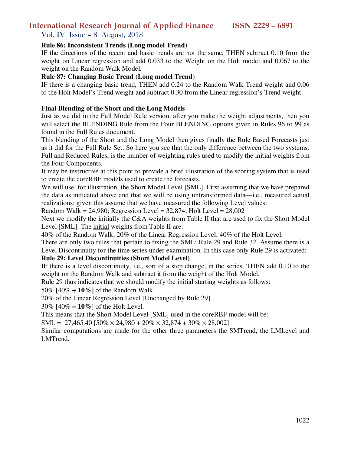Vol. IV Issue – 8 August, 2013

#### **Rule 86: Inconsistent Trends (Long model Trend)**

IF the directions of the recent and basic trends are not the same, THEN subtract 0.10 from the weight on Linear regression and add 0.033 to the Weight on the Holt model and 0.067 to the weight on the Random Walk Model.

#### **Rule 87: Changing Basic Trend (Long model Trend)**

IF there is a changing basic trend, THEN add 0.24 to the Random Walk Trend weight and 0.06 to the Holt Model's Trend weight and subtract 0.30 from the Linear regression's Trend weight.

#### **Final Blending of the Short and the Long Models**

Just as we did in the Full Model Rule version, after you make the weight adjustments, then you will select the BLENDING Rule from the Four BLENDING options given in Rules 96 to 99 as found in the Full Rules document.

This blending of the Short and the Long Model then gives finally the Rule Based Forecasts just as it did for the Full Rule Set. So here you see that the only difference between the two systems: Full and Reduced Rules, is the number of weighting rules used to modify the initial weights from the Four Components.

It may be instructive at this point to provide a brief illustration of the scoring system that is used to create the coreRBF models used to create the forecasts.

We will use, for illustration, the Short Model Level [SML]. First assuming that we have prepared the data as indicated above and that we will be using untransformed data—i.e., measured actual realizations; given this assume that we have measured the following Level values:

Random Walk =  $24,980$ ; Regression Level =  $32,874$ ; Holt Level =  $28,002$ 

Next we modify the initially the C&A weights from Table II that are used to fix the Short Model Level [SML]. The initial weights from Table II are:

40% of the Random Walk; 20% of the Linear Regression Level; 40% of the Holt Level.

There are only two rules that pertain to fixing the SML: Rule 29 and Rule 32. Assume there is a Level Discontinuity for the time series under examination. In this case only Rule 29 is activated:

#### **Rule 29: Level Discontinuities (Short Model Level)**

IF there is a level discontinuity, i.e., sort of a step change, in the series, THEN add 0.10 to the weight on the Random Walk and subtract it from the weight of the Holt Model.

Rule 29 thus indicates that we should modify the initial starting weights as follows:

50% [40% + **10%]** of the Random Walk

20% of the Linear Regression Level [Unchanged by Rule 29]

30% [40% − **10%**] of the Holt Level.

This means that the Short Model Level [SML] used in the coreRBF model will be:

 $SML = 27,465.40$  [50%  $\times$  24,980 + 20%  $\times$  32,874 + 30%  $\times$  28,002]

Similar computations are made for the other three parameters the SMTrend, the LMLevel and LMTrend.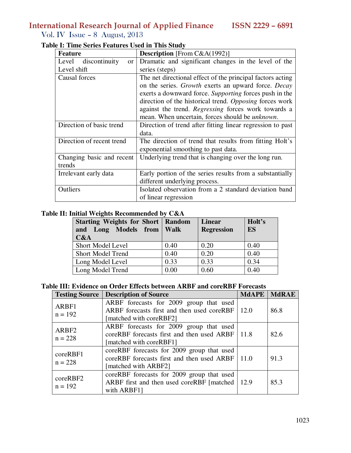Vol. IV Issue – 8 August, 2013

| <b>Feature</b>            | <b>Description</b> [From $C&A(1992)$ ]                     |  |
|---------------------------|------------------------------------------------------------|--|
| Level discontinuity<br>or | Dramatic and significant changes in the level of the       |  |
| Level shift               | series (steps)                                             |  |
| Causal forces             | The net directional effect of the principal factors acting |  |
|                           | on the series. Growth exerts an upward force. Decay        |  |
|                           | exerts a downward force. Supporting forces push in the     |  |
|                           | direction of the historical trend. Opposing forces work    |  |
|                           | against the trend. Regressing forces work towards a        |  |
|                           | mean. When uncertain, forces should be <i>unknown</i> .    |  |
| Direction of basic trend  | Direction of trend after fitting linear regression to past |  |
|                           | data.                                                      |  |
| Direction of recent trend | The direction of trend that results from fitting Holt's    |  |
|                           | exponential smoothing to past data.                        |  |
| Changing basic and recent | Underlying trend that is changing over the long run.       |  |
| trends                    |                                                            |  |
| Irrelevant early data     | Early portion of the series results from a substantially   |  |
|                           | different underlying process.                              |  |
| Outliers                  | Isolated observation from a 2 standard deviation band      |  |
|                           | of linear regression                                       |  |

## **Table I: Time Series Features Used in This Study**

#### **Table II: Initial Weights Recommended by C&A**

| <b>Starting Weights for Short   Random</b><br>and Long Models from Walk<br>C&A |      | <b>Linear</b><br><b>Regression</b> | Holt's<br>ES |
|--------------------------------------------------------------------------------|------|------------------------------------|--------------|
| <b>Short Model Level</b>                                                       | 0.40 | 0.20                               | 0.40         |
| <b>Short Model Trend</b>                                                       | 0.40 | 0.20                               | 0.40         |
| Long Model Level                                                               | 0.33 | 0.33                               | 0.34         |
| Long Model Trend                                                               | 0.00 | 0.60                               | 0.40         |

### **Table III: Evidence on Order Effects between ARBF and coreRBF Forecasts**

| <b>Testing Source</b>          | <b>Description of Source</b>                                                                                                  | <b>MdAPE</b> | <b>MdRAE</b> |
|--------------------------------|-------------------------------------------------------------------------------------------------------------------------------|--------------|--------------|
| ARBF1<br>$n = 192$             | ARBF forecasts for 2009 group that used<br>ARBF forecasts first and then used coreRBF $\vert$ 12.0<br>[matched with coreRBF2] |              | 86.8         |
| ARBF <sub>2</sub><br>$n = 228$ | ARBF forecasts for 2009 group that used<br>coreRBF forecasts first and then used ARBF $\vert$ 11.8<br>[matched with coreRBF1] |              | 82.6         |
| coreRBF1<br>$n = 228$          | coreRBF forecasts for 2009 group that used<br>coreRBF forecasts first and then used ARBF 11.0<br>[matched with ARBF2]         |              | 91.3         |
| coreRBF2<br>$n = 192$          | coreRBF forecasts for 2009 group that used<br>ARBF first and then used coreRBF [matched   12.9]<br>with ARBF1]                |              | 85.3         |